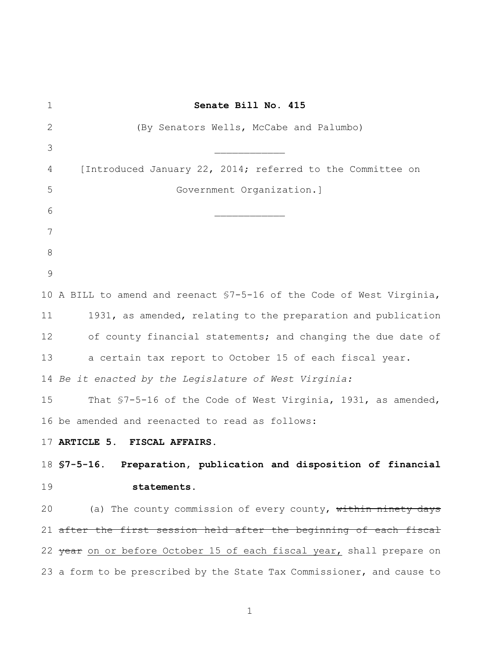| $\mathbf 1$   | Senate Bill No. 415                                                              |
|---------------|----------------------------------------------------------------------------------|
| 2             | (By Senators Wells, McCabe and Palumbo)                                          |
| 3             |                                                                                  |
| 4             | [Introduced January 22, 2014; referred to the Committee on                       |
| 5             | Government Organization.]                                                        |
| 6             |                                                                                  |
| 7             |                                                                                  |
| 8             |                                                                                  |
| $\mathcal{G}$ |                                                                                  |
|               | 10 A BILL to amend and reenact \$7-5-16 of the Code of West Virginia,            |
| 11            | 1931, as amended, relating to the preparation and publication                    |
| 12            | of county financial statements; and changing the due date of                     |
| 13            | a certain tax report to October 15 of each fiscal year.                          |
|               | 14 Be it enacted by the Legislature of West Virginia:                            |
| 15            | That \$7-5-16 of the Code of West Virginia, 1931, as amended,                    |
|               | 16 be amended and reenacted to read as follows:                                  |
|               | 17 ARTICLE 5. FISCAL AFFAIRS.                                                    |
|               | 18 S7-5-16. Preparation, publication and disposition of financial                |
| 19            | statements.                                                                      |
| 20            | (a) The county commission of every county, within ninety days                    |
|               | 21 after the first session held after the beginning of each fiscal               |
|               | 22 <del>year</del> on or before October 15 of each fiscal year, shall prepare on |
|               | 23 a form to be prescribed by the State Tax Commissioner, and cause to           |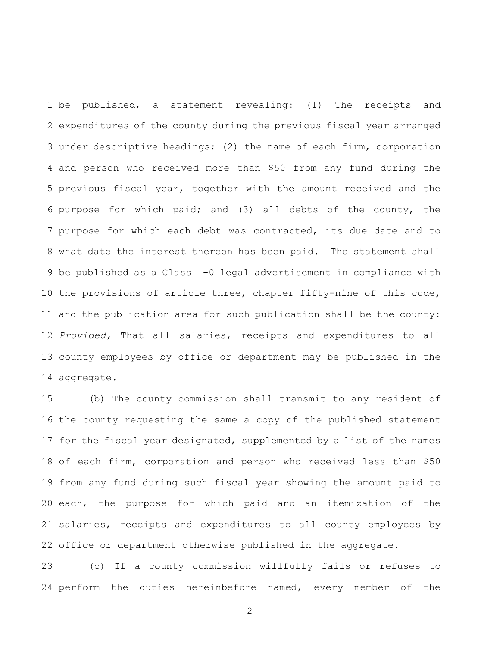be published, a statement revealing: (1) The receipts and expenditures of the county during the previous fiscal year arranged under descriptive headings; (2) the name of each firm, corporation and person who received more than \$50 from any fund during the previous fiscal year, together with the amount received and the purpose for which paid; and (3) all debts of the county, the purpose for which each debt was contracted, its due date and to what date the interest thereon has been paid. The statement shall be published as a Class I-0 legal advertisement in compliance with 10 the provisions of article three, chapter fifty-nine of this code, and the publication area for such publication shall be the county: *Provided,* That all salaries, receipts and expenditures to all county employees by office or department may be published in the aggregate.

 (b) The county commission shall transmit to any resident of the county requesting the same a copy of the published statement for the fiscal year designated, supplemented by a list of the names of each firm, corporation and person who received less than \$50 from any fund during such fiscal year showing the amount paid to each, the purpose for which paid and an itemization of the salaries, receipts and expenditures to all county employees by office or department otherwise published in the aggregate.

 (c) If a county commission willfully fails or refuses to 24 perform the duties hereinbefore named, every member of the